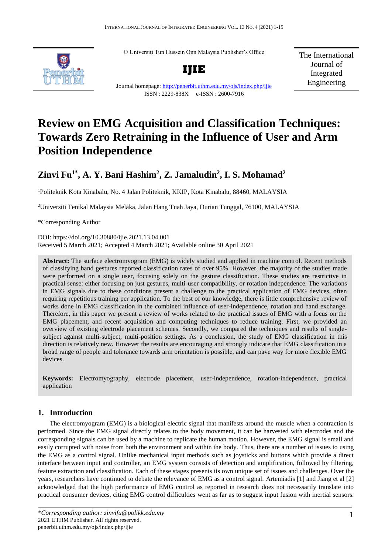© Universiti Tun Hussein Onn Malaysia Publisher's Office



**IJIE**

Journal homepage:<http://penerbit.uthm.edu.my/ojs/index.php/ijie>

ISSN : 2229-838X e-ISSN : 2600-7916

The International Journal of Integrated Engineering

# **Review on EMG Acquisition and Classification Techniques: Towards Zero Retraining in the Influence of User and Arm Position Independence**

# **Zinvi Fu1\* , A. Y. Bani Hashim<sup>2</sup> , Z. Jamaludin<sup>2</sup> , I. S. Mohamad 2**

<sup>1</sup>Politeknik Kota Kinabalu, No. 4 Jalan Politeknik, KKIP, Kota Kinabalu, 88460, MALAYSIA

<sup>2</sup>Universiti Tenikal Malaysia Melaka, Jalan Hang Tuah Jaya, Durian Tunggal, 76100, MALAYSIA

\*Corresponding Author

DOI: https://doi.org/10.30880/ijie.2021.13.04.001 Received 5 March 2021; Accepted 4 March 2021; Available online 30 April 2021

**Abstract:** The surface electromyogram (EMG) is widely studied and applied in machine control. Recent methods of classifying hand gestures reported classification rates of over 95%. However, the majority of the studies made were performed on a single user, focusing solely on the gesture classification. These studies are restrictive in practical sense: either focusing on just gestures, multi-user compatibility, or rotation independence. The variations in EMG signals due to these conditions present a challenge to the practical application of EMG devices, often requiring repetitious training per application. To the best of our knowledge, there is little comprehensive review of works done in EMG classification in the combined influence of user-independence, rotation and hand exchange. Therefore, in this paper we present a review of works related to the practical issues of EMG with a focus on the EMG placement, and recent acquisition and computing techniques to reduce training. First, we provided an overview of existing electrode placement schemes. Secondly, we compared the techniques and results of singlesubject against multi-subject, multi-position settings. As a conclusion, the study of EMG classification in this direction is relatively new. However the results are encouraging and strongly indicate that EMG classification in a broad range of people and tolerance towards arm orientation is possible, and can pave way for more flexible EMG devices.

**Keywords:** Electromyography, electrode placement, user-independence, rotation-independence, practical application

# **1. Introduction**

The electromyogram (EMG) is a biological electric signal that manifests around the muscle when a contraction is performed. Since the EMG signal directly relates to the body movement, it can be harvested with electrodes and the corresponding signals can be used by a machine to replicate the human motion. However, the EMG signal is small and easily corrupted with noise from both the environment and within the body. Thus, there are a number of issues to using the EMG as a control signal. Unlike mechanical input methods such as joysticks and buttons which provide a direct interface between input and controller, an EMG system consists of detection and amplification, followed by filtering, feature extraction and classification. Each of these stages presents its own unique set of issues and challenges. Over the years, researchers have continued to debate the relevance of EMG as a control signal. Artemiadis [1] and Jiang et al [2] acknowledged that the high performance of EMG control as reported in research does not necessarily translate into practical consumer devices, citing EMG control difficulties went as far as to suggest input fusion with inertial sensors.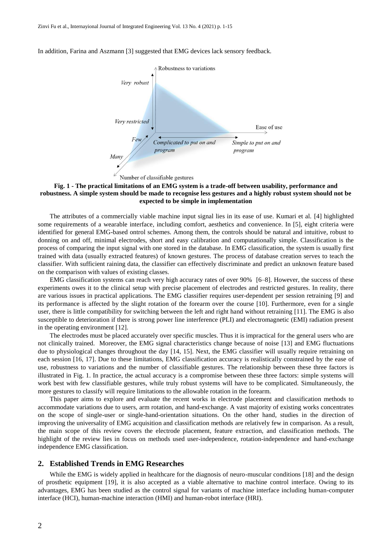In addition, Farina and Aszmann [3] suggested that EMG devices lack sensory feedback.



#### <span id="page-1-0"></span>**Fig. 1 - The practical limitations of an EMG system is a trade-off between usability, performance and robustness. A simple system should be made to recognise less gestures and a highly robust system should not be expected to be simple in implementation**

The attributes of a commercially viable machine input signal lies in its ease of use. Kumari et al. [4] highlighted some requirements of a wearable interface, including comfort, aesthetics and convenience. In [5], eight criteria were identified for general EMG-based ontrol schemes. Among them, the controls should be natural and intuitive, robust to donning on and off, minimal electrodes, short and easy calibration and computationally simple. Classification is the process of comparing the input signal with one stored in the database. In EMG classification, the system is usually first trained with data (usually extracted features) of known gestures. The process of database creation serves to teach the classifier. With sufficient raining data, the classifier can effectively discriminate and predict an unknown feature based on the comparison with values of existing classes.

EMG classification systems can reach very high accuracy rates of over 90% [6–8]. However, the success of these experiments owes it to the clinical setup with precise placement of electrodes and restricted gestures. In reality, there are various issues in practical applications. The EMG classifier requires user-dependent per session retraining [9] and its performance is affected by the slight rotation of the forearm over the course [10]. Furthermore, even for a single user, there is little compatibility for switching between the left and right hand without retraining [11]. The EMG is also susceptible to deterioration if there is strong power line interference (PLI) and electromagnetic (EMI) radiation present in the operating environment [12].

The electrodes must be placed accurately over specific muscles. Thus it is impractical for the general users who are not clinically trained. Moreover, the EMG signal characteristics change because of noise [13] and EMG fluctuations due to physiological changes throughout the day [14, 15]. Next, the EMG classifier will usually require retraining on each session [16, 17]. Due to these limitations, EMG classification accuracy is realistically constrained by the ease of use, robustness to variations and the number of classifiable gestures. The relationship between these three factors is illustrated in [Fig. 1.](#page-1-0) In practice, the actual accuracy is a compromise between these three factors: simple systems will work best with few classifiable gestures, while truly robust systems will have to be complicated. Simultaneously, the more gestures to classify will require limitations to the allowable rotation in the forearm.

This paper aims to explore and evaluate the recent works in electrode placement and classification methods to accommodate variations due to users, arm rotation, and hand-exchange. A vast majority of existing works concentrates on the scope of single-user or single-hand-orientation situations. On the other hand, studies in the direction of improving the universality of EMG acquisition and classification methods are relatively few in comparison. As a result, the main scope of this review covers the electrode placement, feature extraction, and classification methods. The highlight of the review lies in focus on methods used user-independence, rotation-independence and hand-exchange independence EMG classification.

#### **2. Established Trends in EMG Researches**

While the EMG is widely applied in healthcare for the diagnosis of neuro-muscular conditions [18] and the design of prosthetic equipment [19], it is also accepted as a viable alternative to machine control interface. Owing to its advantages, EMG has been studied as the control signal for variants of machine interface including human-computer interface (HCI), human-machine interaction (HMI) and human-robot interface (HRI).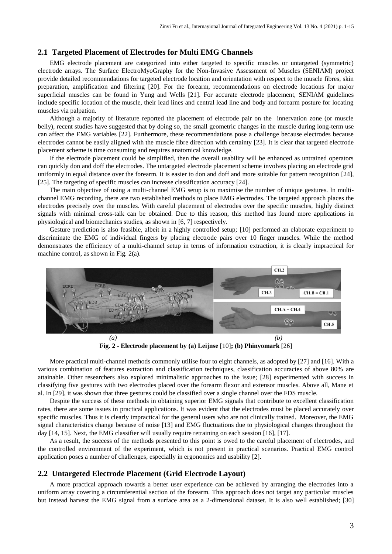#### **2.1 Targeted Placement of Electrodes for Multi EMG Channels**

EMG electrode placement are categorized into either targeted to specific muscles or untargeted (symmetric) electrode arrays. The Surface ElectroMyoGraphy for the Non-Invasive Assessment of Muscles (SENIAM) project provide detailed recommendations for targeted electrode location and orientation with respect to the muscle fibres, skin preparation, amplification and filtering [20]. For the forearm, recommendations on electrode locations for major superficial muscles can be found in Yung and Wells [21]. For accurate electrode placement, SENIAM guidelines include specific location of the muscle, their lead lines and central lead line and body and forearm posture for locating muscles via palpation.

Although a majority of literature reported the placement of electrode pair on the innervation zone (or muscle belly), recent studies have suggested that by doing so, the small geometric changes in the muscle during long-term use can affect the EMG variables [22]. Furthermore, these recommendations pose a challenge because electrodes because electrodes cannot be easily aligned with the muscle fibre direction with certainty [23]. It is clear that targeted electrode placement scheme is time consuming and requires anatomical knowledge.

If the electrode placement could be simplified, then the overall usability will be enhanced as untrained operators can quickly don and doff the electrodes. The untargeted electrode placement scheme involves placing an electrode grid uniformly in equal distance over the forearm. It is easier to don and doff and more suitable for pattern recognition [24], [25]. The targeting of specific muscles can increase classification accuracy [24].

The main objective of using a multi-channel EMG setup is to maximise the number of unique gestures. In multichannel EMG recording, there are two established methods to place EMG electrodes. The targeted approach places the electrodes precisely over the muscles. With careful placement of electrodes over the specific muscles, highly distinct signals with minimal cross-talk can be obtained. Due to this reason, this method has found more applications in physiological and biomechanics studies, as shown in [6, 7] respectively.

Gesture prediction is also feasible, albeit in a highly controlled setup; [10] performed an elaborate experiment to discriminate the EMG of individual fingers by placing electrode pairs over 10 finger muscles. While the method demonstrates the efficiency of a multi-channel setup in terms of information extraction, it is clearly impractical for machine control, as shown in [Fig. 2\(](#page-2-0)a).



**Fig. 2 - Electrode placement by (a) Leijnse** [10]**; (b) Phinyomark** [26]

<span id="page-2-0"></span>More practical multi-channel methods commonly utilise four to eight channels, as adopted by [27] and [16]. With a various combination of features extraction and classification techniques, classification accuracies of above 80% are attainable. Other researchers also explored minimalistic approaches to the issue; [28] experimented with success in classifying five gestures with two electrodes placed over the forearm flexor and extensor muscles. Above all, Mane et al. In [29], it was shown that three gestures could be classified over a single channel over the FDS muscle.

Despite the success of these methods in obtaining superior EMG signals that contribute to excellent classification rates, there are some issues in practical applications. It was evident that the electrodes must be placed accurately over specific muscles. Thus it is clearly impractical for the general users who are not clinically trained. Moreover, the EMG signal characteristics change because of noise [13] and EMG fluctuations due to physiological changes throughout the day [14, 15]. Next, the EMG classifier will usually require retraining on each session [16], [17].

As a result, the success of the methods presented to this point is owed to the careful placement of electrodes, and the controlled environment of the experiment, which is not present in practical scenarios. Practical EMG control application poses a number of challenges, especially in ergonomics and usability [2].

#### **2.2 Untargeted Electrode Placement (Grid Electrode Layout)**

A more practical approach towards a better user experience can be achieved by arranging the electrodes into a uniform array covering a circumferential section of the forearm. This approach does not target any particular muscles but instead harvest the EMG signal from a surface area as a 2-dimensional dataset. It is also well established; [30]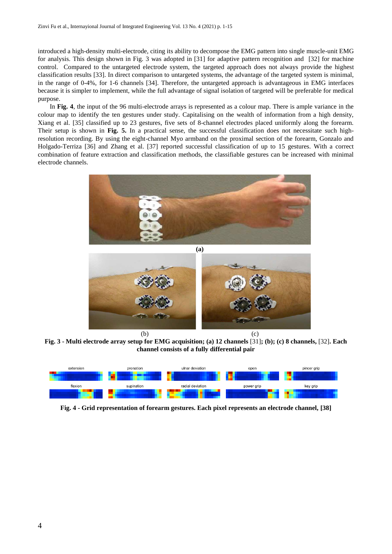introduced a high-density multi-electrode, citing its ability to decompose the EMG pattern into single muscle-unit EMG for analysis. This design shown in [Fig. 3](#page-3-0) was adopted in [31] for adaptive pattern recognition and [32] for machine control. Compared to the untargeted electrode system, the targeted approach does not always provide the highest classification results [33]. In direct comparison to untargeted systems, the advantage of the targeted system is minimal, in the range of 0-4%, for 1-6 channels [34]. Therefore, the untargeted approach is advantageous in EMG interfaces because it is simpler to implement, while the full advantage of signal isolation of targeted will be preferable for medical purpose.

In **[Fig. 4](#page-3-1)**, the input of the 96 multi-electrode arrays is represented as a colour map. There is ample variance in the colour map to identify the ten gestures under study. Capitalising on the wealth of information from a high density, Xiang et al. [35] classified up to 23 gestures, five sets of 8-channel electrodes placed uniformly along the forearm. Their setup is shown in **[Fig. 5.](#page-4-0)** In a practical sense, the successful classification does not necessitate such highresolution recording. By using the eight-channel Myo armband on the proximal section of the forearm, Gonzalo and Holgado-Terriza [36] and Zhang et al. [37] reported successful classification of up to 15 gestures. With a correct combination of feature extraction and classification methods, the classifiable gestures can be increased with minimal electrode channels.





**Fig. 3 - Multi electrode array setup for EMG acquisition; (a) 12 channels** [31]**; (b); (c) 8 channels,** [32]**. Each channel consists of a fully differential pair**

<span id="page-3-0"></span>

<span id="page-3-1"></span>**Fig. 4 - Grid representation of forearm gestures. Each pixel represents an electrode channel, [38]**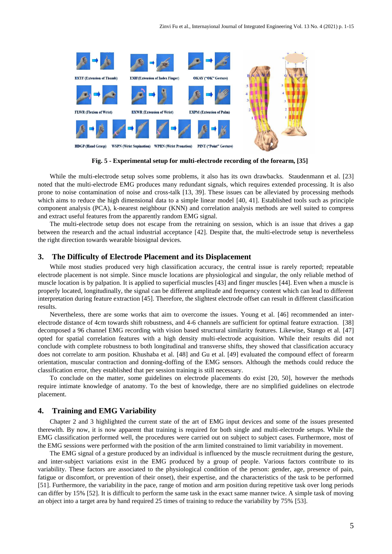

**Fig. 5 - Experimental setup for multi-electrode recording of the forearm, [35]**

<span id="page-4-0"></span>While the multi-electrode setup solves some problems, it also has its own drawbacks. Staudenmann et al. [23] noted that the multi-electrode EMG produces many redundant signals, which requires extended processing. It is also prone to noise contamination of noise and cross-talk [13, 39]. These issues can be alleviated by processing methods which aims to reduce the high dimensional data to a simple linear model [40, 41]. Established tools such as principle component analysis (PCA), k-nearest neighbour (KNN) and correlation analysis methods are well suited to compress and extract useful features from the apparently random EMG signal.

The multi-electrode setup does not escape from the retraining on session, which is an issue that drives a gap between the research and the actual industrial acceptance [42]. Despite that, the multi-electrode setup is nevertheless the right direction towards wearable biosignal devices.

#### **3. The Difficulty of Electrode Placement and its Displacement**

While most studies produced very high classification accuracy, the central issue is rarely reported; repeatable electrode placement is not simple. Since muscle locations are physiological and singular, the only reliable method of muscle location is by palpation. It is applied to superficial muscles [43] and finger muscles [44]. Even when a muscle is properly located, longitudinally, the signal can be different amplitude and frequency content which can lead to different interpretation during feature extraction [45]. Therefore, the slightest electrode offset can result in different classification results.

Nevertheless, there are some works that aim to overcome the issues. Young et al. [46] recommended an interelectrode distance of 4cm towards shift robustness, and 4-6 channels are sufficient for optimal feature extraction. [38] decomposed a 96 channel EMG recording with vision based structural similarity features. Likewise, Stango et al. [47] opted for spatial correlation features with a high density multi-electrode acquisition. While their results did not conclude with complete robustness to both longitudinal and transverse shifts, they showed that classification accuracy does not correlate to arm position. Khushaba et al. [48] and Gu et al. [49] evaluated the compound effect of forearm orientation, muscular contraction and donning-doffing of the EMG sensors. Although the methods could reduce the classification error, they established that per session training is still necessary.

To conclude on the matter, some guidelines on electrode placements do exist [20, 50], however the methods require intimate knowledge of anatomy. To the best of knowledge, there are no simplified guidelines on electrode placement.

#### **4. Training and EMG Variability**

Chapter 2 and 3 highlighted the current state of the art of EMG input devices and some of the issues presented therewith. By now, it is now apparent that training is required for both single and multi-electrode setups. While the EMG classification performed well, the procedures were carried out on subject to subject cases. Furthermore, most of the EMG sessions were performed with the position of the arm limited constrained to limit variability in movement.

The EMG signal of a gesture produced by an individual is influenced by the muscle recruitment during the gesture, and inter-subject variations exist in the EMG produced by a group of people. Various factors contribute to its variability. These factors are associated to the physiological condition of the person: gender, age, presence of pain, fatigue or discomfort, or prevention of their onset), their expertise, and the characteristics of the task to be performed [51]. Furthermore, the variability in the pace, range of motion and arm position during repetitive task over long periods can differ by 15% [52]. It is difficult to perform the same task in the exact same manner twice. A simple task of moving an object into a target area by hand required 25 times of training to reduce the variability by 75% [53].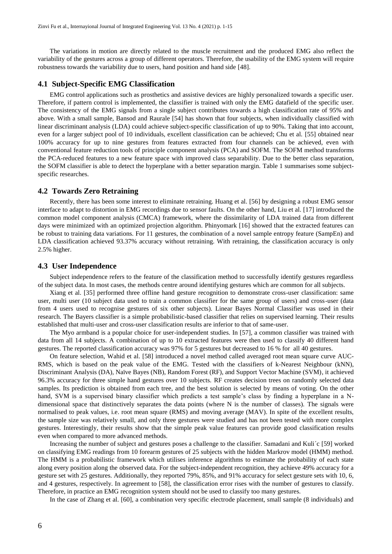The variations in motion are directly related to the muscle recruitment and the produced EMG also reflect the variability of the gestures across a group of different operators. Therefore, the usability of the EMG system will require robustness towards the variability due to users, hand position and hand side [48].

#### **4.1 Subject-Specific EMG Classification**

EMG control applications such as prosthetics and assistive devices are highly personalized towards a specific user. Therefore, if pattern control is implemented, the classifier is trained with only the EMG datafield of the specific user. The consistency of the EMG signals from a single subject contributes towards a high classification rate of 95% and above. With a small sample, Bansod and Raurale [54] has shown that four subjects, when individually classified with linear discriminant analysis (LDA) could achieve subject-specific classification of up to 90%. Taking that into account, even for a larger subject pool of 10 individuals, excellent classification can be achieved; Chu et al. [55] obtained near 100% accuracy for up to nine gestures from features extracted from four channels can be achieved, even with conventional feature reduction tools of principle component analysis (PCA) and SOFM. The SOFM method transforms the PCA-reduced features to a new feature space with improved class separability. Due to the better class separation, the SOFM classifier is able to detect the hyperplane with a better separation margin. [Table 1](#page-8-0) summarises some subjectspecific researches.

#### **4.2 Towards Zero Retraining**

Recently, there has been some interest to eliminate retraining. Huang et al. [56] by designing a robust EMG sensor interface to adapt to distortion in EMG recordings due to sensor faults. On the other hand, Liu et al. [17] introduced the common model component analysis (CMCA) framework, where the dissimilarity of LDA trained data from different days were minimized with an optimized projection algorithm. Phinyomark [16] showed that the extracted features can be robust to training data variations. For 11 gestures, the combination of a novel sample entropy feature (SampEn) and LDA classification achieved 93.37% accuracy without retraining. With retraining, the classification accuracy is only 2.5% higher.

#### **4.3 User Independence**

Subject independence refers to the feature of the classification method to successfully identify gestures regardless of the subject data. In most cases, the methods centre around identifying gestures which are common for all subjects.

Xiang et al. [35] performed three offline hand gesture recognition to demonstrate cross-user classification: same user, multi user (10 subject data used to train a common classifier for the same group of users) and cross-user (data from 4 users used to recognise gestures of six other subjects). Linear Bayes Normal Classifier was used in their research. The Bayers classifier is a simple probabilistic-based classifier that relies on supervised learning. Their results established that multi-user and cross-user classification results are inferior to that of same-user.

The Myo armband is a popular choice for user-independent studies. In [57], a common classifier was trained with data from all 14 subjects. A combination of up to 10 extracted features were then used to classify 40 different hand gestures. The reported classification accuracy was 97% for 5 gestures but decreased to 16 % for all 40 gestures.

On feature selection, Wahid et al. [58] introduced a novel method called averaged root mean square curve AUC-RMS, which is based on the peak value of the EMG. Tested with the classifiers of k-Nearest Neighbour (kNN), Discriminant Analysis (DA), Naïve Bayes (NB), Random Forest (RF), and Support Vector Machine (SVM), it achieved 96.3% accuracy for three simple hand gestures over 10 subjects. RF creates decision trees on randomly selected data samples. Its prediction is obtained from each tree, and the best solution is selected by means of voting. On the other hand, SVM is a supervised binary classifier which predicts a test sample's class by finding a hyperplane in a Ndimensional space that distinctively separates the data points (where N is the number of classes). The signals were normalised to peak values, i.e. root mean square (RMS) and moving average (MAV). In spite of the excellent results, the sample size was relatively small, and only three gestures were studied and has not been tested with more complex gestures. Interestingly, their results show that the simple peak value features can provide good classification results even when compared to more advanced methods.

Increasing the number of subject and gestures poses a challenge to the classifier. Samadani and Kuli´c [59] worked on classifying EMG readings from 10 forearm gestures of 25 subjects with the hidden Markrov model (HMM) method. The HMM is a probabilistic framework which utilises inference algorithms to estimate the probability of each state along every position along the observed data. For the subject-independent recognition, they achieve 49% accuracy for a gesture set with 25 gestures. Additionally, they reported 79%, 85%, and 91% accuracy for select gesture sets with 10, 6, and 4 gestures, respectively. In agreement to [58], the classification error rises with the number of gestures to classify. Therefore, in practice an EMG recognition system should not be used to classify too many gestures.

In the case of Zhang et al. [60], a combination very specific electrode placement, small sample (8 individuals) and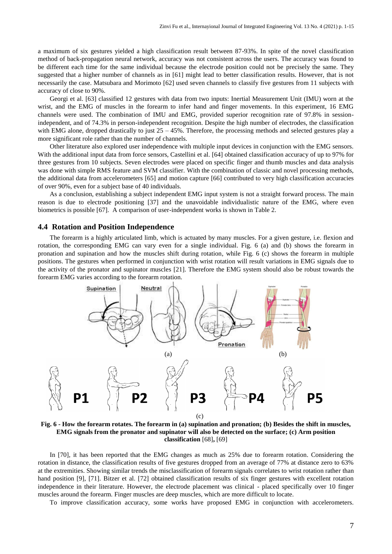a maximum of six gestures yielded a high classification result between 87-93%. In spite of the novel classification method of back-propagation neural network, accuracy was not consistent across the users. The accuracy was found to be different each time for the same individual because the electrode position could not be precisely the same. They suggested that a higher number of channels as in [61] might lead to better classification results. However, that is not necessarily the case. Matsubara and Morimoto [62] used seven channels to classify five gestures from 11 subjects with accuracy of close to 90%.

Georgi et al. [63] classified 12 gestures with data from two inputs: Inertial Measurement Unit (IMU) worn at the wrist, and the EMG of muscles in the forearm to infer hand and finger movements. In this experiment, 16 EMG channels were used. The combination of IMU and EMG, provided superior recognition rate of 97.8% in sessionindependent, and of 74.3% in person-independent recognition. Despite the high number of electrodes, the classification with EMG alone, dropped drastically to just  $25 - 45\%$ . Therefore, the processing methods and selected gestures play a more significant role rather than the number of channels.

Other literature also explored user independence with multiple input devices in conjunction with the EMG sensors. With the additional input data from force sensors, Castellini et al. [64] obtained classification accuracy of up to 97% for three gestures from 10 subjects. Seven electrodes were placed on specific finger and thumb muscles and data analysis was done with simple RMS feature and SVM classifier. With the combination of classic and novel processing methods, the additional data from accelerometers [65] and motion capture [66] contributed to very high classification accuracies of over 90%, even for a subject base of 40 individuals.

As a conclusion, establishing a subject independent EMG input system is not a straight forward process. The main reason is due to electrode positioning [37] and the unavoidable individualistic nature of the EMG, where even biometrics is possible [67]. A comparison of user-independent works is shown in [Table 2.](#page-9-0)

#### **4.4 Rotation and Position Independence**

The forearm is a highly articulated limb, which is actuated by many muscles. For a given gesture, i.e. flexion and rotation, the corresponding EMG can vary even for a single individual. [Fig. 6](#page-6-0) (a) and (b) shows the forearm in pronation and supination and how the muscles shift during rotation, while [Fig. 6](#page-6-0) (c) shows the forearm in multiple positions. The gestures when performed in conjunction with wrist rotation will result variations in EMG signals due to the activity of the pronator and supinator muscles [21]. Therefore the EMG system should also be robust towards the forearm EMG varies according to the forearm rotation.



<span id="page-6-0"></span>**Fig. 6 - How the forearm rotates. The forearm in (a) supination and pronation; (b) Besides the shift in muscles, EMG signals from the pronator and supinator will also be detected on the surface; (c) Arm position classification** [68]**,** [69]

In [70], it has been reported that the EMG changes as much as 25% due to forearm rotation. Considering the rotation in distance, the classification results of five gestures dropped from an average of 77% at distance zero to 63% at the extremities. Showing similar trends the misclassification of forearm signals correlates to wrist rotation rather than hand position [9], [71]. Bitzer et al. [72] obtained classification results of six finger gestures with excellent rotation independence in their literature. However, the electrode placement was clinical - placed specifically over 10 finger muscles around the forearm. Finger muscles are deep muscles, which are more difficult to locate.

To improve classification accuracy, some works have proposed EMG in conjunction with accelerometers.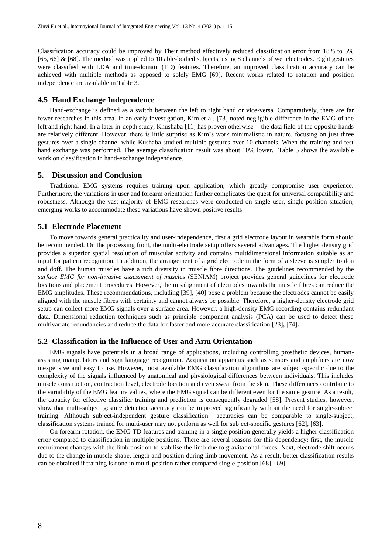Classification accuracy could be improved by Their method effectively reduced classification error from 18% to 5% [65, 66] & [68]. The method was applied to 10 able-bodied subjects, using 8 channels of wet electrodes. Eight gestures were classified with LDA and time-domain (TD) features. Therefore, an improved classification accuracy can be achieved with multiple methods as opposed to solely EMG [69]. Recent works related to rotation and position independence are available in [Table 3.](#page-9-1)

#### **4.5 Hand Exchange Independence**

Hand-exchange is defined as a switch between the left to right hand or vice-versa. Comparatively, there are far fewer researches in this area. In an early investigation, Kim et al. [73] noted negligible difference in the EMG of the left and right hand. In a later in-depth study, Khushaba [11] has proven otherwise - the data field of the opposite hands are relatively different. However, there is little surprise as Kim's work minimalistic in nature, focusing on just three gestures over a single channel while Kushaba studied multiple gestures over 10 channels. When the training and test hand exchange was performed. The average classification result was about 10% lower. [Table 5](#page-10-0) shows the available work on classification in hand-exchange independence.

#### **5. Discussion and Conclusion**

Traditional EMG systems requires training upon application, which greatly compromise user experience. Furthermore, the variations in user and forearm orientation further complicates the quest for universal compatibility and robustness. Although the vast majority of EMG researches were conducted on single-user, single-position situation, emerging works to accommodate these variations have shown positive results.

### **5.1 Electrode Placement**

To move towards general practicality and user-independence, first a grid electrode layout in wearable form should be recommended. On the processing front, the multi-electrode setup offers several advantages. The higher density grid provides a superior spatial resolution of muscular activity and contains multidimensional information suitable as an input for pattern recognition. In addition, the arrangement of a grid electrode in the form of a sleeve is simpler to don and doff. The human muscles have a rich diversity in muscle fibre directions. The guidelines recommended by the *surface EMG for non-invasive assessment of muscles* (SENIAM) project provides general guidelines for electrode locations and placement procedures. However, the misalignment of electrodes towards the muscle fibres can reduce the EMG amplitudes. These recommendations, including [39], [40] pose a problem because the electrodes cannot be easily aligned with the muscle fibres with certainty and cannot always be possible. Therefore, a higher-density electrode grid setup can collect more EMG signals over a surface area. However, a high-density EMG recording contains redundant data. Dimensional reduction techniques such as principle component analysis (PCA) can be used to detect these multivariate redundancies and reduce the data for faster and more accurate classification [23]**,** [74]**.**

#### **5.2 Classification in the Influence of User and Arm Orientation**

EMG signals have potentials in a broad range of applications, including controlling prosthetic devices, humanassisting manipulators and sign language recognition. Acquisition apparatus such as sensors and amplifiers are now inexpensive and easy to use. However, most available EMG classification algorithms are subject-specific due to the complexity of the signals influenced by anatomical and physiological differences between individuals. This includes muscle construction, contraction level, electrode location and even sweat from the skin. These differences contribute to the variability of the EMG feature values, where the EMG signal can be different even for the same gesture. As a result, the capacity for effective classifier training and prediction is consequently degraded [58]. Present studies, however, show that multi-subject gesture detection accuracy can be improved significantly without the need for single-subject training. Although subject-independent gesture classification accuracies can be comparable to single-subject, classification systems trained for multi-user may not perform as well for subject-specific gestures [62], [63].

On forearm rotation, the EMG TD features and training in a single position generally yields a higher classification error compared to classification in multiple positions. There are several reasons for this dependency: first, the muscle recruitment changes with the limb position to stabilise the limb due to gravitational forces. Next, electrode shift occurs due to the change in muscle shape, length and position during limb movement. As a result, better classification results can be obtained if training is done in multi-position rather compared single-position [68], [69].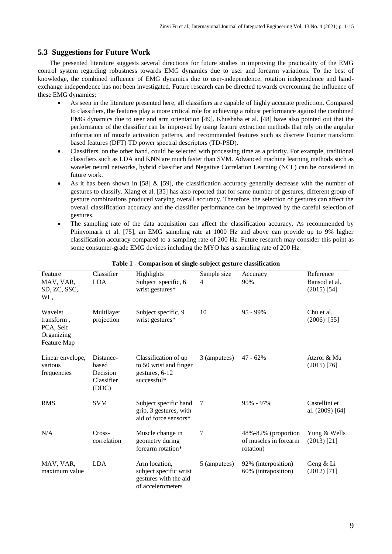# **5.3 Suggestions for Future Work**

The presented literature suggests several directions for future studies in improving the practicality of the EMG control system regarding robustness towards EMG dynamics due to user and forearm variations. To the best of knowledge, the combined influence of EMG dynamics due to user-independence, rotation independence and handexchange independence has not been investigated. Future research can be directed towards overcoming the influence of these EMG dynamics:

- As seen in the literature presented here, all classifiers are capable of highly accurate prediction. Compared to classifiers, the features play a more critical role for achieving a robust performance against the combined EMG dynamics due to user and arm orientation [49]. Khushaba et al. [48] have also pointed out that the performance of the classifier can be improved by using feature extraction methods that rely on the angular information of muscle activation patterns, and recommended features such as discrete Fourier transform based features (DFT) TD power spectral descriptors (TD-PSD).
- . Classifiers, on the other hand, could be selected with processing time as a priority. For example, traditional classifiers such as LDA and KNN are much faster than SVM. Advanced machine learning methods such as wavelet neural networks, hybrid classifier and Negative Correlation Learning (NCL) can be considered in future work.
- As it has been shown in [58] & [59], the classification accuracy generally decrease with the number of gestures to classify. Xiang et al. [35] has also reported that for same number of gestures, different group of gesture combinations produced varying overall accuracy. Therefore, the selection of gestures can affect the overall classification accuracy and the classifier performance can be improved by the careful selection of gestures.
- The sampling rate of the data acquisition can affect the classification accuracy. As recommended by Phinyomark et al. [75], an EMG sampling rate at 1000 Hz and above can provide up to 9% higher classification accuracy compared to a sampling rate of 200 Hz. Future research may consider this point as some consumer-grade EMG devices including the MYO has a sampling rate of 200 Hz.

<span id="page-8-0"></span>

| Feature                                                         | Classifier                                            | Highlights                                                                            | Sample size      | Accuracy                                                  | Reference                        |
|-----------------------------------------------------------------|-------------------------------------------------------|---------------------------------------------------------------------------------------|------------------|-----------------------------------------------------------|----------------------------------|
| MAV, VAR,<br>SD, ZC, SSC,<br>WL,                                | <b>LDA</b>                                            | Subject specific, 6<br>wrist gestures*                                                | $\overline{4}$   | 90%                                                       | Bansod et al.<br>$(2015)$ [54]   |
| Wavelet<br>transform,<br>PCA, Self<br>Organizing<br>Feature Map | Multilayer<br>projection                              | Subject specific, 9<br>wrist gestures*                                                | 10               | $95 - 99\%$                                               | Chu et al.<br>$(2006)$ [55]      |
| Linear envelope,<br>various<br>frequencies                      | Distance-<br>based<br>Decision<br>Classifier<br>(DDC) | Classification of up<br>to 50 wrist and finger<br>gestures, 6-12<br>successful*       | 3 (amputees)     | $47 - 62%$                                                | Atzroi & Mu<br>$(2015)$ [76]     |
| <b>RMS</b>                                                      | <b>SVM</b>                                            | Subject specific hand<br>grip, 3 gestures, with<br>aid of force sensors*              | 7                | 95% - 97%                                                 | Castellini et<br>al. (2009) [64] |
| N/A                                                             | Cross-<br>correlation                                 | Muscle change in<br>geometry during<br>forearm rotation*                              | $\boldsymbol{7}$ | 48%-82% (proportion<br>of muscles in forearm<br>rotation) | Yung & Wells<br>$(2013)$ [21]    |
| MAV, VAR,<br>maximum value                                      | <b>LDA</b>                                            | Arm location,<br>subject specific wrist<br>gestures with the aid<br>of accelerometers | 5 (amputees)     | 92% (interposition)<br>60% (intraposition)                | Geng & Li<br>$(2012)$ [71]       |

#### **Table 1 - Comparison of single-subject gesture classification**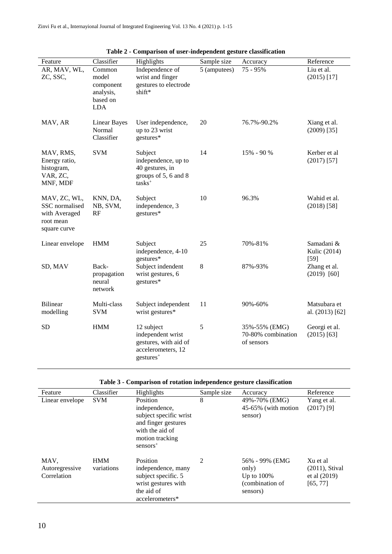<span id="page-9-0"></span>

| Feature                                                                      | Classifier                                                          | Highlights                                                                                      | Sample size  | Accuracy                                          | Reference                            |
|------------------------------------------------------------------------------|---------------------------------------------------------------------|-------------------------------------------------------------------------------------------------|--------------|---------------------------------------------------|--------------------------------------|
| AR, MAV, WL,<br>ZC, SSC,                                                     | Common<br>model<br>component<br>analysis,<br>based on<br><b>LDA</b> | Independence of<br>wrist and finger<br>gestures to electrode<br>shift*                          | 5 (amputees) | 75 - 95%                                          | Liu et al.<br>$(2015)$ [17]          |
| MAV, AR                                                                      | <b>Linear Bayes</b><br>Normal<br>Classifier                         | User independence,<br>up to 23 wrist<br>gestures*                                               | 20           | 76.7%-90.2%                                       | Xiang et al.<br>$(2009)$ [35]        |
| MAV, RMS,<br>Energy ratio,<br>histogram,<br>VAR, ZC,<br>MNF, MDF             | <b>SVM</b>                                                          | Subject<br>independence, up to<br>40 gestures, in<br>groups of 5, 6 and 8<br>tasks <sup>+</sup> | 14           | 15% - 90 %                                        | Kerber et al<br>$(2017)$ [57]        |
| MAV, ZC, WL,<br>SSC normalised<br>with Averaged<br>root mean<br>square curve | KNN, DA,<br>NB, SVM,<br>RF                                          | Subject<br>independence, 3<br>gestures*                                                         | 10           | 96.3%                                             | Wahid et al.<br>$(2018)$ [58]        |
| Linear envelope                                                              | <b>HMM</b>                                                          | Subject<br>independence, 4-10<br>gestures*                                                      | 25           | 70%-81%                                           | Samadani &<br>Kulic (2014)<br>$[59]$ |
| SD, MAV                                                                      | Back-<br>propagation<br>neural<br>network                           | Subject indendent<br>wrist gestures, 6<br>gestures*                                             | 8            | 87%-93%                                           | Zhang et al.<br>$(2019)$ [60]        |
| <b>Bilinear</b><br>modelling                                                 | Multi-class<br><b>SVM</b>                                           | Subject independent<br>wrist gestures*                                                          | 11           | 90%-60%                                           | Matsubara et<br>al. $(2013)$ [62]    |
| <b>SD</b>                                                                    | <b>HMM</b>                                                          | 12 subject<br>independent wrist<br>gestures, with aid of<br>accelerometers, 12<br>$gestures+$   | 5            | 35%-55% (EMG)<br>70-80% combination<br>of sensors | Georgi et al.<br>$(2015)$ [63]       |

| Table 3 - Comparison of rotation independence gesture classification |
|----------------------------------------------------------------------|
|----------------------------------------------------------------------|

<span id="page-9-1"></span>

| Feature                               | Classifier               | Highlights                                                                                                                     | Sample size | Accuracy                                                                 | Reference                                                   |
|---------------------------------------|--------------------------|--------------------------------------------------------------------------------------------------------------------------------|-------------|--------------------------------------------------------------------------|-------------------------------------------------------------|
| Linear envelope                       | <b>SVM</b>               | Position<br>independence,<br>subject specific wrist<br>and finger gestures<br>with the aid of<br>motion tracking<br>$sensors+$ | 8           | 49%-70% (EMG)<br>45-65% (with motion<br>sensor)                          | Yang et al.<br>$(2017)$ [9]                                 |
| MAV,<br>Autoregressive<br>Correlation | <b>HMM</b><br>variations | Position<br>independence, many<br>subject specific. 5<br>wrist gestures with<br>the aid of<br>accelerometers*                  | 2           | 56% - 99% (EMG)<br>only)<br>Up to $100\%$<br>(combination of<br>sensors) | Xu et al<br>$(2011)$ , Stival<br>et al $(2019)$<br>[65, 77] |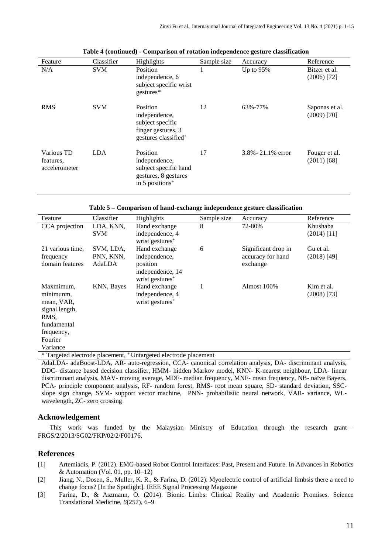| Feature                                  | Classifier | Highlights                                                                                                | Sample size | Accuracy               | Reference                       |
|------------------------------------------|------------|-----------------------------------------------------------------------------------------------------------|-------------|------------------------|---------------------------------|
| N/A                                      | <b>SVM</b> | Position<br>independence, 6<br>subject specific wrist<br>gestures*                                        |             | Up to 95%              | Bitzer et al.<br>$(2006)$ [72]  |
| <b>RMS</b>                               | <b>SVM</b> | Position<br>independence,<br>subject specific<br>finger gestures. 3<br>gestures classified <sup>+</sup>   | 12          | 63%-77%                | Saponas et al.<br>$(2009)$ [70] |
| Various TD<br>features.<br>accelerometer | <b>LDA</b> | Position<br>independence,<br>subject specific hand<br>gestures, 8 gestures<br>in 5 positions <sup>+</sup> | 17          | $3.8\% - 21.1\%$ error | Fouger et al.<br>$(2011)$ [68]  |

|  |  |  |  | Table 4 (continued) - Comparison of rotation independence gesture classification |
|--|--|--|--|----------------------------------------------------------------------------------|
|  |  |  |  |                                                                                  |

|  |  | Table 5 – Comparison of hand-exchange independence gesture classification |
|--|--|---------------------------------------------------------------------------|
|  |  |                                                                           |

<span id="page-10-0"></span>

| Feature                                                          | Classifier | Highlights                  | Sample size | Accuracy            | Reference     |  |
|------------------------------------------------------------------|------------|-----------------------------|-------------|---------------------|---------------|--|
| CCA projection                                                   | LDA, KNN,  | Hand exchange               | 8           | 72-80%              | Khushaba      |  |
|                                                                  | <b>SVM</b> | independence, 4             |             |                     | $(2014)$ [11] |  |
|                                                                  |            | wrist gestures <sup>+</sup> |             |                     |               |  |
| 21 various time,                                                 | SVM, LDA,  | Hand exchange               | 6           | Significant drop in | Gu et al.     |  |
| frequency                                                        | PNN, KNN,  | independence,               |             | accuracy for hand   | $(2018)$ [49] |  |
| domain features                                                  | AdaLDA     | position                    |             | exchange            |               |  |
|                                                                  |            | independence, 14            |             |                     |               |  |
|                                                                  |            | wrist gestures <sup>+</sup> |             |                     |               |  |
| Maxmimum.                                                        | KNN, Bayes | Hand exchange               | 1           | Almost 100%         | Kim et al.    |  |
| minimunm,                                                        |            | independence, 4             |             |                     | $(2008)$ [73] |  |
| mean, VAR,                                                       |            | wrist gestures <sup>+</sup> |             |                     |               |  |
| signal length,                                                   |            |                             |             |                     |               |  |
| RMS,                                                             |            |                             |             |                     |               |  |
| fundamental                                                      |            |                             |             |                     |               |  |
| frequency,                                                       |            |                             |             |                     |               |  |
| Fourier                                                          |            |                             |             |                     |               |  |
| Variance                                                         |            |                             |             |                     |               |  |
| * Targeted electrode placement, + Untargeted electrode placement |            |                             |             |                     |               |  |

AdaLDA- adaBoost-LDA, AR- auto-regression, CCA- canonical correlation analysis, DA- discriminant analysis, DDC- distance based decision classifier, HMM- hidden Markov model, KNN- K-nearest neighbour, LDA- linear discriminant analysis, MAV- moving average, MDF- median frequency, MNF- mean frequency, NB- naïve Bayers, PCA- principle component analysis, RF- random forest, RMS- root mean square, SD- standard deviation, SSCslope sign change, SVM- support vector machine, PNN- probabilistic neural network, VAR- variance, WLwavelength, ZC- zero crossing

# **Acknowledgement**

This work was funded by the Malaysian Ministry of Education through the research grant— FRGS/2/2013/SG02/FKP/02/2/F00176.

# **References**

- [1] Artemiadis, P. (2012). EMG-based Robot Control Interfaces: Past, Present and Future. In Advances in Robotics & Automation (Vol. 01, pp.  $10-12$ )
- [2] Jiang, N., Dosen, S., Muller, K. R., & Farina, D. (2012). Myoelectric control of artificial limbsis there a need to change focus? [In the Spotlight]. IEEE Signal Processing Magazine
- [3] Farina, D., & Aszmann, O. (2014). Bionic Limbs: Clinical Reality and Academic Promises. Science Translational Medicine, *6*(257), 6–9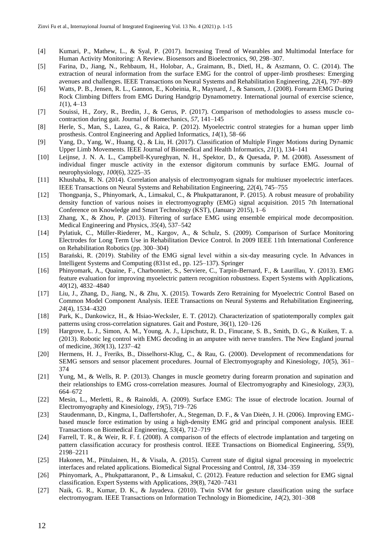- [4] Kumari, P., Mathew, L., & Syal, P. (2017). Increasing Trend of Wearables and Multimodal Interface for Human Activity Monitoring: A Review. Biosensors and Bioelectronics, *90*, 298–307.
- [5] Farina, D., Jiang, N., Rehbaum, H., Holobar, A., Graimann, B., Dietl, H., & Aszmann, O. C. (2014). The extraction of neural information from the surface EMG for the control of upper-limb prostheses: Emerging avenues and challenges. IEEE Transactions on Neural Systems and Rehabilitation Engineering, *22*(4), 797–809
- [6] Watts, P. B., Jensen, R. L., Gannon, E., Kobeinia, R., Maynard, J., & Sansom, J. (2008). Forearm EMG During Rock Climbing Differs from EMG During Handgrip Dynamometry. International journal of exercise science, *1*(1), 4–13
- [7] Souissi, H., Zory, R., Bredin, J., & Gerus, P. (2017). Comparison of methodologies to assess muscle cocontraction during gait. Journal of Biomechanics, *57*, 141–145
- [8] Herle, S., Man, S., Lazea, G., & Raica, P. (2012). Myoelectric control strategies for a human upper limb prosthesis. Control Engineering and Applied Informatics, *14*(1), 58–66
- [9] Yang, D., Yang, W., Huang, Q., & Liu, H. (2017). Classification of Multiple Finger Motions during Dynamic Upper Limb Movements. IEEE Journal of Biomedical and Health Informatics, *21*(1), 134–141
- [10] Leijnse, J. N. A. L., Campbell-Kyureghyan, N. H., Spektor, D., & Quesada, P. M. (2008). Assessment of individual finger muscle activity in the extensor digitorum communis by surface EMG. Journal of neurophysiology, *100*(6), 3225–35
- [11] Khushaba, R. N. (2014). Correlation analysis of electromyogram signals for multiuser myoelectric interfaces. IEEE Transactions on Neural Systems and Rehabilitation Engineering, *22*(4), 745–755
- [12] Thongpanja, S., Phinyomark, A., Limsakul, C., & Phukpattaranont, P. (2015). A robust measure of probability density function of various noises in electromyography (EMG) signal acquisition. 2015 7th International Conference on Knowledge and Smart Technology (KST), (January 2015), 1–6
- [13] Zhang, X., & Zhou, P. (2013). Filtering of surface EMG using ensemble empirical mode decomposition. Medical Engineering and Physics, *35*(4), 537–542
- [14] Pylatiuk, C., Müller-Riederer, M., Kargov, A., & Schulz, S. (2009). Comparison of Surface Monitoring Electrodes for Long Term Use in Rehabilitation Device Control. In 2009 IEEE 11th International Conference on Rehabilitation Robotics (pp. 300–304)
- [15] Barański, R. (2019). Stability of the EMG signal level within a six-day measuring cycle. In Advances in Intelligent Systems and Computing (831st ed., pp. 125–137). Springer
- [16] Phinyomark, A., Quaine, F., Charbonnier, S., Serviere, C., Tarpin-Bernard, F., & Laurillau, Y. (2013). EMG feature evaluation for improving myoelectric pattern recognition robustness. Expert Systems with Applications, *40*(12), 4832–4840
- [17] Liu, J., Zhang, D., Jiang, N., & Zhu, X. (2015). Towards Zero Retraining for Myoelectric Control Based on Common Model Component Analysis. IEEE Transactions on Neural Systems and Rehabilitation Engineering, *24*(4), 1534–4320
- [18] Park, K., Dankowicz, H., & Hsiao-Wecksler, E. T. (2012). Characterization of spatiotemporally complex gait patterns using cross-correlation signatures. Gait and Posture, *36*(1), 120–126
- [19] Hargrove, L. J., Simon, A. M., Young, A. J., Lipschutz, R. D., Finucane, S. B., Smith, D. G., & Kuiken, T. a. (2013). Robotic leg control with EMG decoding in an amputee with nerve transfers. The New England journal of medicine, *369*(13), 1237–42
- [20] Hermens, H. J., Freriks, B., Disselhorst-Klug, C., & Rau, G. (2000). Development of recommendations for SEMG sensors and sensor placement procedures. Journal of Electromyography and Kinesiology, *10*(5), 361– 374
- [21] Yung, M., & Wells, R. P. (2013). Changes in muscle geometry during forearm pronation and supination and their relationships to EMG cross-correlation measures. Journal of Electromyography and Kinesiology, *23*(3), 664–672
- [22] Mesin, L., Merletti, R., & Rainoldi, A. (2009). Surface EMG: The issue of electrode location. Journal of Electromyography and Kinesiology, *19*(5), 719–726
- [23] Staudenmann, D., Kingma, I., Daffertshofer, A., Stegeman, D. F., & Van Dieën, J. H. (2006). Improving EMGbased muscle force estimation by using a high-density EMG grid and principal component analysis. IEEE Transactions on Biomedical Engineering, *53*(4), 712–719
- [24] Farrell, T. R., & Weir, R. F. f. (2008). A comparison of the effects of electrode implantation and targeting on pattern classification accuracy for prosthesis control. IEEE Transactions on Biomedical Engineering, *55*(9), 2198–2211
- [25] Hakonen, M., Piitulainen, H., & Visala, A. (2015). Current state of digital signal processing in myoelectric interfaces and related applications. Biomedical Signal Processing and Control, *18*, 334–359
- [26] Phinyomark, A., Phukpattaranont, P., & Limsakul, C. (2012). Feature reduction and selection for EMG signal classification. Expert Systems with Applications, *39*(8), 7420–7431
- [27] Naik, G. R., Kumar, D. K., & Jayadeva. (2010). Twin SVM for gesture classification using the surface electromyogram. IEEE Transactions on Information Technology in Biomedicine, *14*(2), 301–308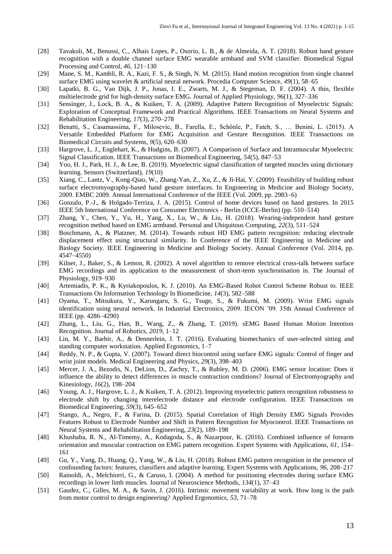- [28] Tavakoli, M., Benussi, C., Alhais Lopes, P., Osorio, L. B., & de Almeida, A. T. (2018). Robust hand gesture recognition with a double channel surface EMG wearable armband and SVM classifier. Biomedical Signal Processing and Control, *46*, 121–130
- [29] Mane, S. M., Kambli, R. A., Kazi, F. S., & Singh, N. M. (2015). Hand motion recognition from single channel surface EMG using wavelet & artificial neural network. Procedia Computer Science, *49*(1), 58–65
- [30] Lapatki, B. G., Van Dijk, J. P., Jonas, I. E., Zwarts, M. J., & Stegeman, D. F. (2004). A thin, flexible multielectrode grid for high-density surface EMG. Journal of Applied Physiology, *96*(1), 327–336
- [31] Sensinger, J., Lock, B. A., & Kuiken, T. A. (2009). Adaptive Pattern Recognition of Myoelectric Signals: Exploration of Conceptual Framework and Practical Algorithms. IEEE Transactions on Neural Systems and Rehabilitation Engineering, *17*(3), 270–278
- [32] Benatti, S., Casamassima, F., Milosevic, B., Farella, E., Schönle, P., Fateh, S., … Benini, L. (2015). A Versatile Embedded Platform for EMG Acquisition and Gesture Recognition. IEEE Transactions on Biomedical Circuits and Systems, *9*(5), 620–630
- [33] Hargrove, L. J., Englehart, K., & Hudgins, B. (2007). A Comparison of Surface and Intramuscular Myoelectric Signal Classification. IEEE Transactions on Biomedical Engineering, *54*(5), 847–53
- [34] Yoo, H. J., Park, H. J., & Lee, B. (2019). Myoelectric signal classification of targeted muscles using dictionary learning. Sensors (Switzerland), *19*(10)
- [35] Xiang, C., Lantz, V., Kong-Qiao, W., Zhang-Yan, Z., Xu, Z., & Ji-Hai, Y. (2009). Feasibility of building robust surface electromyography-based hand gesture interfaces. In Engineering in Medicine and Biology Society, 2009. EMBC 2009. Annual International Conference of the IEEE (Vol. 2009, pp. 2983–6)
- [36] Gonzalo, P.-J., & Holgado-Terriza, J. A. (2015). Control of home devices based on hand gestures. In 2015 IEEE 5th International Conference on Consumer Electronics - Berlin (ICCE-Berlin) (pp. 510–514)
- [37] Zhang, Y., Chen, Y., Yu, H., Yang, X., Lu, W., & Liu, H. (2018). Wearing-independent hand gesture recognition method based on EMG armband. Personal and Ubiquitous Computing, *22*(3), 511–524
- [38] Boschmann, A., & Platzner, M. (2014). Towards robust HD EMG pattern recognition: reducing electrode displacement effect using structural similarity. In Conference of the IEEE Engineering in Medicine and Biology Society. IEEE Engineering in Medicine and Biology Society. Annual Conference (Vol. 2014, pp. 4547–4550)
- [39] Kilner, J., Baker, S., & Lemon, R. (2002). A novel algorithm to remove electrical cross-talk between surface EMG recordings and its application to the measurement of short-term synchronisation in. The Journal of Physiology, 919–930
- [40] Artemiadis, P. K., & Kyriakopoulos, K. J. (2010). An EMG-Based Robot Control Scheme Robust to. IEEE Transactions On Information Technology In Biomedicine, *14*(3), 582–588
- [41] Oyama, T., Mitsukura, Y., Karungaru, S. G., Tsuge, S., & Fukumi, M. (2009). Wrist EMG signals identification using neural network. In Industrial Electronics, 2009. IECON '09. 35th Annual Conference of IEEE (pp. 4286–4290)
- [42] Zhang, L., Liu, G., Han, B., Wang, Z., & Zhang, T. (2019). sEMG Based Human Motion Intention Recognition. Journal of Robotics, *2019*, 1–12
- [43] Lin, M. Y., Barbir, A., & Dennerlein, J. T. (2016). Evaluating biomechanics of user-selected sitting and standing computer workstation. Applied Ergonomics, 1–7
- [44] Reddy, N. P., & Gupta, V. (2007). Toward direct biocontrol using surface EMG signals: Control of finger and wrist joint models. Medical Engineering and Physics, *29*(3), 398–403
- [45] Mercer, J. A., Bezodis, N., DeLion, D., Zachry, T., & Rubley, M. D. (2006). EMG sensor location: Does it influence the ability to detect differences in muscle contraction conditions? Journal of Electromyography and Kinesiology, *16*(2), 198–204
- [46] Young, A. J., Hargrove, L. J., & Kuiken, T. A. (2012). Improving myoelectric pattern recognition robustness to electrode shift by changing interelectrode distance and electrode configuration. IEEE Transactions on Biomedical Engineering, *59*(3), 645–652
- [47] Stango, A., Negro, F., & Farina, D. (2015). Spatial Correlation of High Density EMG Signals Provides Features Robust to Electrode Number and Shift in Pattern Recognition for Myocontrol. IEEE Transactions on Neural Systems and Rehabilitation Engineering, *23*(2), 189–198
- [48] Khushaba, R. N., Al-Timemy, A., Kodagoda, S., & Nazarpour, K. (2016). Combined influence of forearm orientation and muscular contraction on EMG pattern recognition. Expert Systems with Applications, *61*, 154– 161
- [49] Gu, Y., Yang, D., Huang, Q., Yang, W., & Liu, H. (2018). Robust EMG pattern recognition in the presence of confounding factors: features, classifiers and adaptive learning. Expert Systems with Applications, *96*, 208–217
- [50] Rainoldi, A., Melchiorri, G., & Caruso, I. (2004). A method for positioning electrodes during surface EMG recordings in lower limb muscles. Journal of Neuroscience Methods, *134*(1), 37–43
- [51] Gaudez, C., Gilles, M. A., & Savin, J. (2016). Intrinsic movement variability at work. How long is the path from motor control to design engineering? Applied Ergonomics, *53*, 71–78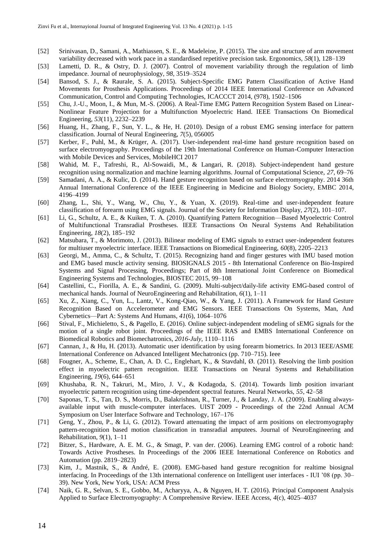- [52] Srinivasan, D., Samani, A., Mathiassen, S. E., & Madeleine, P. (2015). The size and structure of arm movement variability decreased with work pace in a standardised repetitive precision task. Ergonomics, *58*(1), 128–139
- [53] Lametti, D. R., & Ostry, D. J. (2007). Control of movement variability through the regulation of limb impedance. Journal of neurophysiology, *98*, 3519–3524
- [54] Bansod, S. J., & Raurale, S. A. (2015). Subject-Specific EMG Pattern Classification of Active Hand Movements for Prosthesis Applications. Proceedings of 2014 IEEE International Conference on Advanced Communication, Control and Computing Technologies, ICACCCT 2014, (978), 1502–1506
- [55] Chu, J.-U., Moon, I., & Mun, M.-S. (2006). A Real-Time EMG Pattern Recognition System Based on Linear-Nonlinear Feature Projection for a Multifunction Myoelectric Hand. IEEE Transactions On Biomedical Engineering, *53*(11), 2232–2239
- [56] Huang, H., Zhang, F., Sun, Y. L., & He, H. (2010). Design of a robust EMG sensing interface for pattern classification. Journal of Neural Engineering, *7*(5), 056005
- [57] Kerber, F., Puhl, M., & Krüger, A. (2017). User-independent real-time hand gesture recognition based on surface electromyography. Proceedings of the 19th International Conference on Human-Computer Interaction with Mobile Devices and Services, MobileHCI 2017
- [58] Wahid, M. F., Tafreshi, R., Al-Sowaidi, M., & Langari, R. (2018). Subject-independent hand gesture recognition using normalization and machine learning algorithms. Journal of Computational Science, *27*, 69–76
- [59] Samadani, A. A., & Kulic, D. (2014). Hand gesture recognition based on surface electromyography. 2014 36th Annual International Conference of the IEEE Engineering in Medicine and Biology Society, EMBC 2014, 4196–4199
- [60] Zhang, L., Shi, Y., Wang, W., Chu, Y., & Yuan, X. (2019). Real-time and user-independent feature classification of forearm using EMG signals. Journal of the Society for Information Display, *27*(2), 101–107.
- [61] Li, G., Schultz, A. E., & Kuiken, T. A. (2010). Quantifying Pattern Recognition—Based Myoelectric Control of Multifunctional Transradial Prostheses. IEEE Transactions On Neural Systems And Rehabilitation Engineering, *18*(2), 185–192
- [62] Matsubara, T., & Morimoto, J. (2013). Bilinear modeling of EMG signals to extract user-independent features for multiuser myoelectric interface. IEEE Transactions on Biomedical Engineering, *60*(8), 2205–2213
- [63] Georgi, M., Amma, C., & Schultz, T. (2015). Recognizing hand and finger gestures with IMU based motion and EMG based muscle activity sensing. BIOSIGNALS 2015 - 8th International Conference on Bio-Inspired Systems and Signal Processing, Proceedings; Part of 8th International Joint Conference on Biomedical Engineering Systems and Technologies, BIOSTEC 2015, 99–108
- [64] Castellini, C., Fiorilla, A. E., & Sandini, G. (2009). Multi-subject/daily-life activity EMG-based control of mechanical hands. Journal of NeuroEngineering and Rehabilitation, *6*(1), 1–11
- [65] Xu, Z., Xiang, C., Yun, L., Lantz, V., Kong-Qiao, W., & Yang, J. (2011). A Framework for Hand Gesture Recognition Based on Accelerometer and EMG Sensors. IEEE Transactions On Systems, Man, And Cybernetics—Part A: Systems And Humans, *41*(6), 1064–1076
- [66] Stival, F., Michieletto, S., & Pagello, E. (2016). Online subject-independent modeling of sEMG signals for the motion of a single robot joint. Proceedings of the IEEE RAS and EMBS International Conference on Biomedical Robotics and Biomechatronics, *2016*-*July*, 1110–1116
- [67] Cannan, J., & Hu, H. (2013). Automatic user identification by using forearm biometrics. In 2013 IEEE/ASME International Conference on Advanced Intelligent Mechatronics (pp. 710–715). Ieee
- [68] Fougner, A., Scheme, E., Chan, A. D. C., Englehart, K., & Stavdahl, Ø. (2011). Resolving the limb position effect in myoelectric pattern recognition. IEEE Transactions on Neural Systems and Rehabilitation Engineering, *19*(6), 644–651
- [69] Khushaba, R. N., Takruri, M., Miro, J. V., & Kodagoda, S. (2014). Towards limb position invariant myoelectric pattern recognition using time-dependent spectral features. Neural Networks, *55*, 42–58
- [70] Saponas, T. S., Tan, D. S., Morris, D., Balakrishnan, R., Turner, J., & Landay, J. A. (2009). Enabling alwaysavailable input with muscle-computer interfaces. UIST 2009 - Proceedings of the 22nd Annual ACM Symposium on User Interface Software and Technology, 167–176
- [71] Geng, Y., Zhou, P., & Li, G. (2012). Toward attenuating the impact of arm positions on electromyography pattern-recognition based motion classification in transradial amputees. Journal of NeuroEngineering and Rehabilitation, *9*(1), 1–11
- [72] Bitzer, S., Hardware, A. E. M. G., & Smagt, P. van der. (2006). Learning EMG control of a robotic hand: Towards Active Prostheses. In Proceedings of the 2006 IEEE International Conference on Robotics and Automation (pp. 2819–2823)
- [73] Kim, J., Mastnik, S., & André, E. (2008). EMG-based hand gesture recognition for realtime biosignal interfacing. In Proceedings of the 13th international conference on Intelligent user interfaces - IUI '08 (pp. 30– 39). New York, New York, USA: ACM Press
- [74] Naik, G. R., Selvan, S. E., Gobbo, M., Acharyya, A., & Nguyen, H. T. (2016). Principal Component Analysis Applied to Surface Electromyography: A Comprehensive Review. IEEE Access, *4*(c), 4025–4037